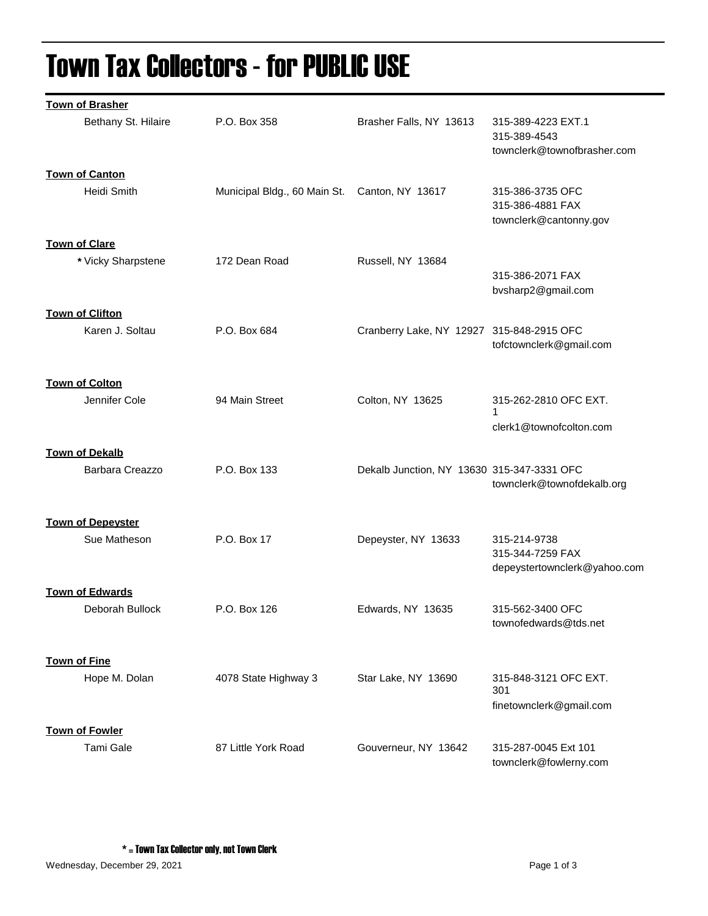## Town Tax Collectors - for PUBLIC USE

| <b>Town of Brasher</b>                   |                              |                                            |                                                                   |
|------------------------------------------|------------------------------|--------------------------------------------|-------------------------------------------------------------------|
| Bethany St. Hilaire                      | P.O. Box 358                 | Brasher Falls, NY 13613                    | 315-389-4223 EXT.1<br>315-389-4543<br>townclerk@townofbrasher.com |
| <b>Town of Canton</b>                    |                              |                                            |                                                                   |
| Heidi Smith                              | Municipal Bldg., 60 Main St. | Canton, NY 13617                           | 315-386-3735 OFC<br>315-386-4881 FAX<br>townclerk@cantonny.gov    |
| <b>Town of Clare</b>                     |                              |                                            |                                                                   |
| * Vicky Sharpstene                       | 172 Dean Road                | Russell, NY 13684                          |                                                                   |
|                                          |                              |                                            | 315-386-2071 FAX<br>bvsharp2@gmail.com                            |
| <b>Town of Clifton</b>                   |                              |                                            |                                                                   |
| Karen J. Soltau                          | P.O. Box 684                 | Cranberry Lake, NY 12927 315-848-2915 OFC  | tofctownclerk@gmail.com                                           |
| <b>Town of Colton</b>                    |                              |                                            |                                                                   |
| Jennifer Cole                            | 94 Main Street               | Colton, NY 13625                           | 315-262-2810 OFC EXT.<br>1                                        |
|                                          |                              |                                            | clerk1@townofcolton.com                                           |
|                                          |                              |                                            |                                                                   |
| <b>Town of Dekalb</b><br>Barbara Creazzo | P.O. Box 133                 | Dekalb Junction, NY 13630 315-347-3331 OFC | townclerk@townofdekalb.org                                        |
|                                          |                              |                                            |                                                                   |
| <b>Town of Depeyster</b><br>Sue Matheson | P.O. Box 17                  | Depeyster, NY 13633                        | 315-214-9738                                                      |
|                                          |                              |                                            | 315-344-7259 FAX<br>depeystertownclerk@yahoo.com                  |
| <b>Town of Edwards</b>                   |                              |                                            |                                                                   |
| Deborah Bullock                          | P.O. Box 126                 | Edwards, NY 13635                          | 315-562-3400 OFC<br>townofedwards@tds.net                         |
|                                          |                              |                                            |                                                                   |
| <b>Town of Fine</b><br>Hope M. Dolan     | 4078 State Highway 3         | Star Lake, NY 13690                        | 315-848-3121 OFC EXT.<br>301                                      |
|                                          |                              |                                            | finetownclerk@gmail.com                                           |
|                                          |                              |                                            |                                                                   |
| <b>Town of Fowler</b>                    |                              |                                            |                                                                   |
| Tami Gale                                | 87 Little York Road          | Gouverneur, NY 13642                       | 315-287-0045 Ext 101<br>townclerk@fowlerny.com                    |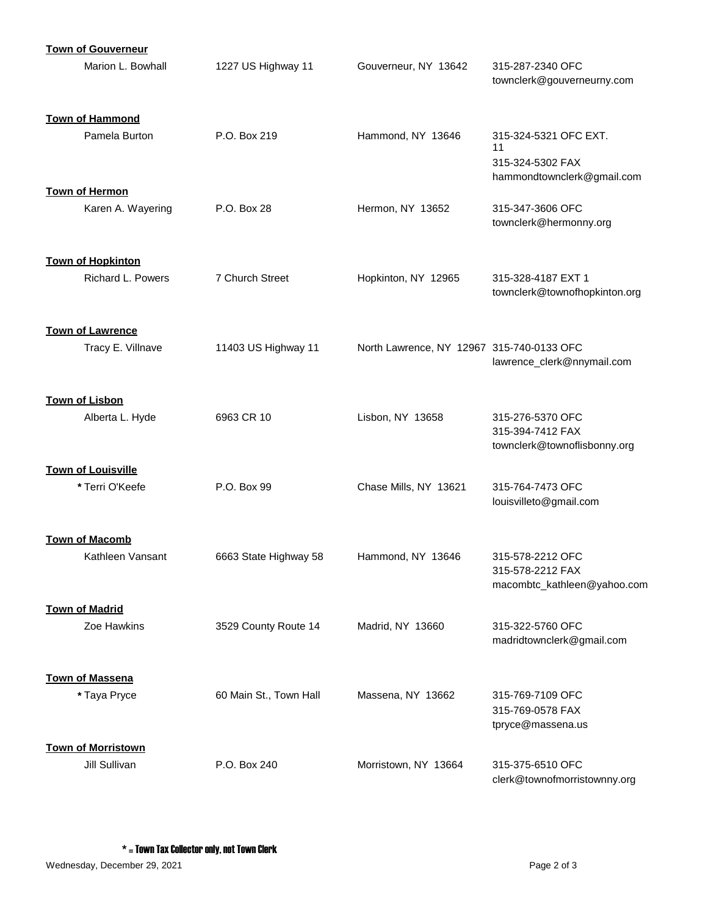| <b>Town of Gouverneur</b>                 |                        |                                           |                                                     |
|-------------------------------------------|------------------------|-------------------------------------------|-----------------------------------------------------|
| Marion L. Bowhall                         | 1227 US Highway 11     | Gouverneur, NY 13642                      | 315-287-2340 OFC<br>townclerk@gouverneurny.com      |
| <b>Town of Hammond</b>                    |                        |                                           |                                                     |
| Pamela Burton                             | P.O. Box 219           | Hammond, NY 13646                         | 315-324-5321 OFC EXT.<br>11                         |
|                                           |                        |                                           | 315-324-5302 FAX<br>hammondtownclerk@gmail.com      |
| <b>Town of Hermon</b>                     |                        |                                           |                                                     |
| Karen A. Wayering                         | P.O. Box 28            | Hermon, NY 13652                          | 315-347-3606 OFC<br>townclerk@hermonny.org          |
| <b>Town of Hopkinton</b>                  |                        |                                           |                                                     |
| <b>Richard L. Powers</b>                  | 7 Church Street        | Hopkinton, NY 12965                       | 315-328-4187 EXT 1<br>townclerk@townofhopkinton.org |
| <b>Town of Lawrence</b>                   |                        |                                           |                                                     |
| Tracy E. Villnave                         | 11403 US Highway 11    | North Lawrence, NY 12967 315-740-0133 OFC |                                                     |
|                                           |                        |                                           | lawrence_clerk@nnymail.com                          |
| <b>Town of Lisbon</b>                     |                        |                                           |                                                     |
| Alberta L. Hyde                           | 6963 CR 10             | Lisbon, NY 13658                          | 315-276-5370 OFC<br>315-394-7412 FAX                |
|                                           |                        |                                           | townclerk@townoflisbonny.org                        |
| <b>Town of Louisville</b>                 |                        |                                           |                                                     |
| * Terri O'Keefe                           | P.O. Box 99            | Chase Mills, NY 13621                     | 315-764-7473 OFC<br>louisvilleto@gmail.com          |
|                                           |                        |                                           |                                                     |
| <b>Town of Macomb</b><br>Kathleen Vansant | 6663 State Highway 58  | Hammond, NY 13646                         | 315-578-2212 OFC                                    |
|                                           |                        |                                           | 315-578-2212 FAX<br>macombtc_kathleen@yahoo.com     |
| <b>Town of Madrid</b>                     |                        |                                           |                                                     |
| Zoe Hawkins                               | 3529 County Route 14   | Madrid, NY 13660                          | 315-322-5760 OFC                                    |
|                                           |                        |                                           | madridtownclerk@gmail.com                           |
| <b>Town of Massena</b>                    |                        |                                           |                                                     |
| * Taya Pryce                              | 60 Main St., Town Hall | Massena, NY 13662                         | 315-769-7109 OFC<br>315-769-0578 FAX                |
|                                           |                        |                                           | tpryce@massena.us                                   |
| <b>Town of Morristown</b>                 |                        |                                           |                                                     |
| Jill Sullivan                             | P.O. Box 240           | Morristown, NY 13664                      | 315-375-6510 OFC<br>clerk@townofmorristownny.org    |